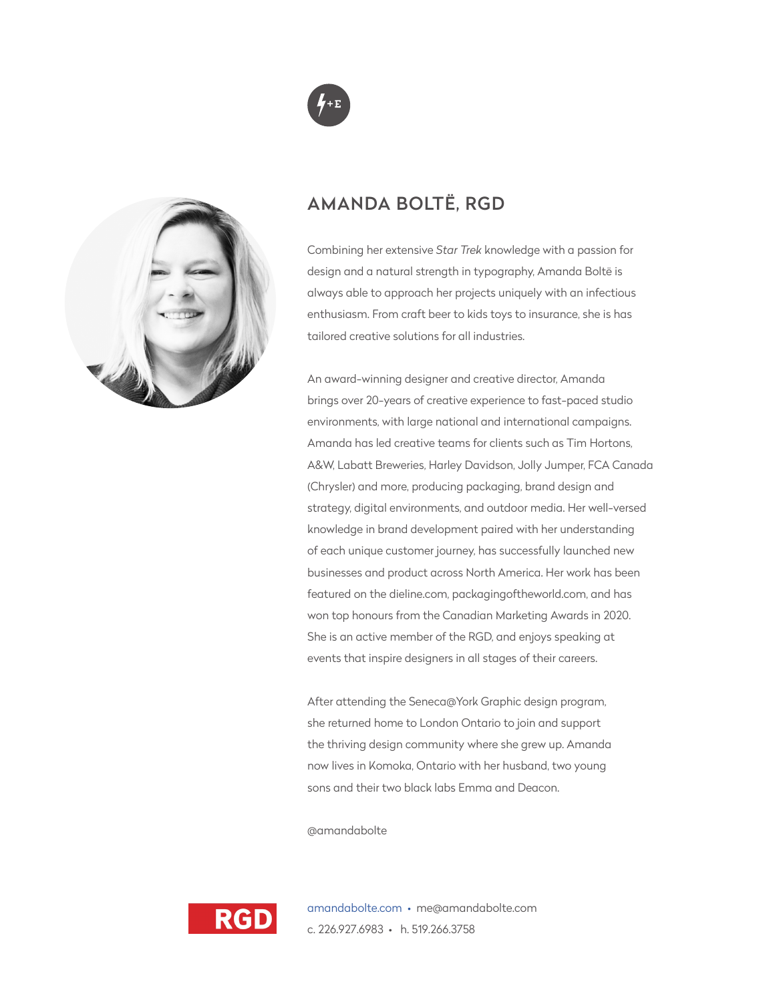

# AMANDA BOLTË, RGD

Combining her extensive *Star Trek* knowledge with a passion for design and a natural strength in typography, Amanda Boltë is always able to approach her projects uniquely with an infectious enthusiasm. From craft beer to kids toys to insurance, she is has tailored creative solutions for all industries.

An award-winning designer and creative director, Amanda brings over 20-years of creative experience to fast-paced studio environments, with large national and international campaigns. Amanda has led creative teams for clients such as Tim Hortons, A&W, Labatt Breweries, Harley Davidson, Jolly Jumper, FCA Canada (Chrysler) and more, producing packaging, brand design and strategy, digital environments, and outdoor media. Her well-versed knowledge in brand development paired with her understanding of each unique customer journey, has successfully launched new businesses and product across North America. Her work has been featured on the dieline.com, packagingoftheworld.com, and has won top honours from the Canadian Marketing Awards in 2020. She is an active member of the RGD, and enjoys speaking at events that inspire designers in all stages of their careers.

After attending the Seneca@York Graphic design program, she returned home to London Ontario to join and support the thriving design community where she grew up. Amanda now lives in Komoka, Ontario with her husband, two young sons and their two black labs Emma and Deacon.

@amandabolte



amandabolte.com • me@amandabolte.com c. 226.927.6983 • h. 519.266.3758